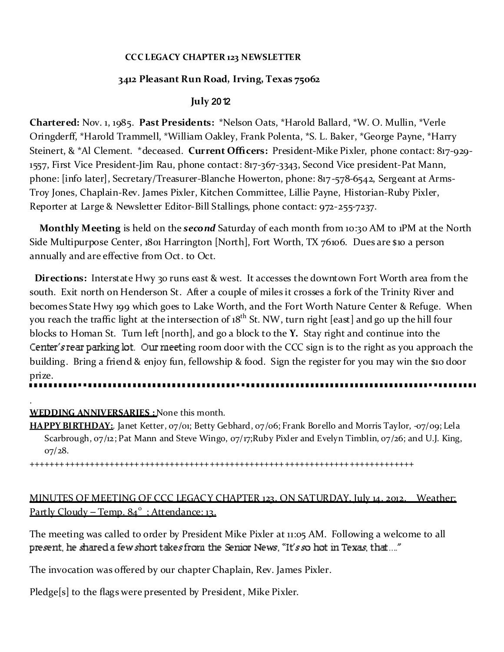#### **CCC LEGACY CHAPTER 123 NEWSLETTER**

### **3412 Pleasant Run Road, Irving, Texas 75062**

### **July** 2012

**Chartered:** Nov. 1, 1985. **Past Presidents:** \*Nelson Oats, \*Harold Ballard, \*W. O. Mullin, \*Verle Oringderff, \*Harold Trammell, \*William Oakley, Frank Polenta, \*S. L. Baker, \*George Payne, \*Harry Steinert, & \*Al Clement. \*deceased. **Current Officers:** President-Mike Pixler, phone contact: 817-929- 1557, First Vice President-Jim Rau, phone contact: 817-367-3343, Second Vice president-Pat Mann, phone: [info later], Secretary/Treasurer-Blanche Howerton, phone: 817-578-6542, Sergeant at Arms-Troy Jones, Chaplain-Rev. James Pixler, Kitchen Committee, Lillie Payne, Historian-Ruby Pixler, Reporter at Large & Newsletter Editor-Bill Stallings, phone contact: 972-255-7237.

**Monthly Meeting** is held on the *second* Saturday of each month from 10:30 AM to 1PM at the North Side Multipurpose Center, 1801 Harrington [North], Fort Worth, TX 76106. Dues are \$10 a person annually and are effective from Oct. to Oct.

**Directions:** Interstate Hwy 30 runs east & west. It accesses the downtown Fort Worth area from the south. Exit north on Henderson St. After a couple of miles it crosses a fork of the Trinity River and becomes State Hwy 199 which goes to Lake Worth, and the Fort Worth Nature Center & Refuge. When you reach the traffic light at the intersection of 18<sup>th</sup> St. NW, turn right [east] and go up the hill four blocks to Homan St. Turn left [north], and go a block to the **Y.** Stay right and continue into the Center's rear parking  $\cot$ . Our meeting room door with the CCC sign is to the right as you approach the building. Bring a friend & enjoy fun, fellowship & food. Sign the register for you may win the \$10 door prize.

### **WEDDING ANNIVERSARIES :** None this month.

.

**HAPPY BIRTHDAY:**. Janet Ketter, 07/01; Betty Gebhard, 07/06; Frank Borello and Morris Taylor, -07/09; Lela Scarbrough, 07/12; Pat Mann and Steve Wingo, 07/17;Ruby Pixler and Evelyn Timblin, 07/26; and U.J. King, 07/28.

+++++++++++++++++++++++++++++++++++++++++++++++++++++++++++++++++++++++++++++

# MINUTES OF MEETING OF CCC LEGACY CHAPTER 123, ON SATURDAY, July 14, 2012, Weather: Partly Cloudy – Temp. 84<sup>°</sup>: Attendance: 13.

The meeting was called to order by President Mike Pixler at 11:05 AM. Following a welcome to all present, he shared a few short takes from the Senior News, "It's so hot in Texas, that...."

The invocation was offered by our chapter Chaplain, Rev. James Pixler.

Pledge[s] to the flags were presented by President, Mike Pixler.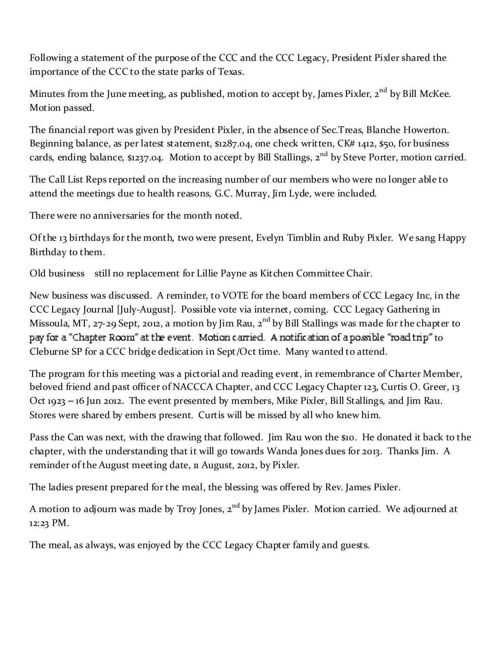Following a statement of the purpose of the CCC and the CCC Legacy, President Pixler shared the importance of the CCC to the state parks of Texas.

Minutes from the June meeting, as published, motion to accept by, James Pixler,  $2^{nd}$  by Bill McKee. Motion passed.

The financial report was given by President Pixler, in the absence of Sec.Treas, Blanche Howerton. Beginning balance, as per latest statement, \$1287.04, one check written, CK# 1412, \$50, for business cards, ending balance, \$1237.04. Motion to accept by Bill Stallings, 2<sup>nd</sup> by Steve Porter, motion carried.

The Call List Reps reported on the increasing number of our members who were no longer able to attend the meetings due to health reasons, G.C. Murray, Jim Lyde, were included.

There were no anniversaries for the month noted.

Of the 13 birthdays for the month, two were present, Evelyn Timblin and Ruby Pixler. We sang Happy Birthday to them.

Old business still no replacement for Lillie Payne as Kitchen Committee Chair.

New business was discussed. A reminder, to VOTE for the board members of CCC Legacy Inc, in the CCC Legacy Journal [July-August]. Possible vote via internet, coming. CCC Legacy Gathering in Missoula, MT, 27-29 Sept, 2012, a motion by Jim Rau, 2<sup>nd</sup> by Bill Stallings was made for the chapter to pay for a "Chapter Room" at the event. Motion carried. A notification of a possible "road trip" to Cleburne SP for a CCC bridge dedication in Sept/Oct time. Many wanted to attend.

The program for this meeting was a pictorial and reading event, in remembrance of Charter Member, beloved friend and past officer of NACCCA Chapter, and CCC Legacy Chapter 123, Curtis O. Greer, 13 Oct 1923 - 16 Jun 2012. The event presented by members, Mike Pixler, Bill Stallings, and Jim Rau. Stores were shared by embers present. Curtis will be missed by all who knew him.

Pass the Can was next, with the drawing that followed. Jim Rau won the \$10. He donated it back to the chapter, with the understanding that it will go towards Wanda Jones dues for 2013. Thanks Jim. A reminder of the August meeting date, 11 August, 2012, by Pixler.

The ladies present prepared for the meal, the blessing was offered by Rev. James Pixler.

A motion to adjourn was made by Troy Jones,  $2<sup>nd</sup>$  by James Pixler. Motion carried. We adjourned at 12:23 PM.

The meal, as always, was enjoyed by the CCC Legacy Chapter family and guests.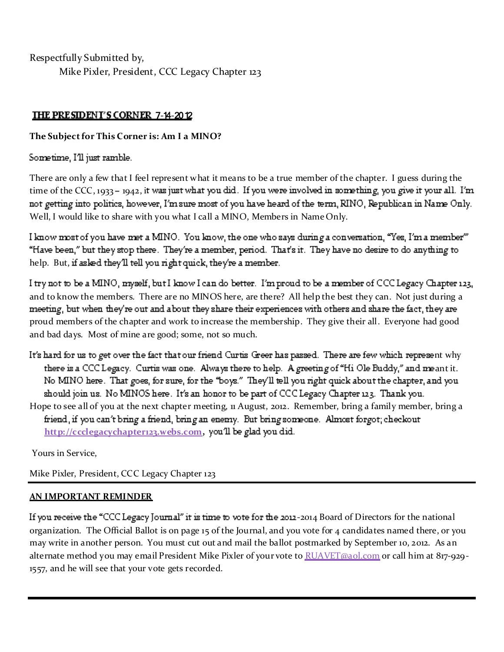Respectfully Submitted by, Mike Pixler, President, CCC Legacy Chapter 123

# 7**-**14**-**2012

## **The Sub ject for This Corner is: Am I a MINO?**

Sometime, I'll just ramble.

There are only a few that I feel represent what it means to be a true member of the chapter. I guess during the time of the CCC, 1933 - 1942, it was just what you did. If you were involved in something, you give it your all. I'm not getting into politics, however, I'm sure most of you have heard of the term, RINO, Republican in Name Only. Well, I would like to share with you what I call a MINO, Members in Name Only.

I know most of you have met a MINO. You know, the one who says during a conversation, "Yes, I'm a member" "Have been," but they stop there. They're a member, period. That's it. They have no desire to do anything to help. But, if asked they'll tell you right quick, they're a member.

I try not to be a MINO, myself, but I know I can do better. I'm proud to be a member of CCC Legacy Chapter 123, and to know the members. There are no MINOS here, are there? All help the best they can. Not just during a meeting, but when they're out and about they share their experiences with others and share the fact, they are proud members of the chapter and work to increase the membership. They give their all. Everyone had good and bad days. Most of mine are good; some, not so much.

- It's hard for us to get over the fact that our friend Curtis Greer has passed. There are few which represent why there is a CCC Legacy. Curtis was one. Always there to help. A greeting of "Hi Ole Buddy," and meant it. No MINO here. That goes, for sure, for the "boys." They'll tell you right quick about the chapter, and you should join us. No MINOS here. It's an honor to be part of CCC Legacy Chapter 123. Thank you.
- Hope to see all of you at the next chapter meeting, 11 August, 2012. Remember, bring a family member, bring a friend, if you can't bring a friend, bring an enemy. But bring someone. Almost forgot; checkout http://ccclegacychapter123.webs.com, you'll be glad you did.

Yours in Service,

Mike Pixler, President, CCC Legacy Chapter 123

## **AN IMPORTANT REMINDER**

If you receive the "CCC Legacy Journal" it is time to vote for the 2012-2014 Board of Directors for the national organization. The Official Ballot is on page 15 of the Journal, and you vote for 4 candidates named there, or you may write in another person. You must cut out and mail the ballot postmarked by September 10, 2012. As an alternate method you may email President Mike Pixler of your vote to RUAVET@aol.com or call him at 817-929-1557, and he will see that your vote gets recorded.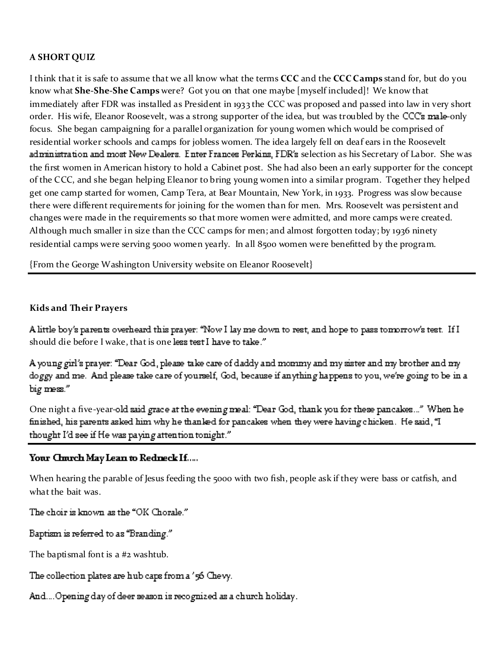### **A SHORT QUIZ**

I think that it is safe to assume that we all know what the terms **CCC** and the **CCC** Camps stand for, but do you know what **She-She-She Camps** were? Got you on that one maybe [myself included]! We know that immediately after FDR was installed as President in 1933 the CCC was proposed and passed into law in very short order. His wife, Eleanor Roosevelt, was a strong supporter of the idea, but was troubled by the CCC's male-only focus. She began campaigning for a parallel organization for young women which would be comprised of residential worker schools and camps for jobless women. The idea largely fell on deaf ears in the Roosevelt administration and most New Dealers. Enter Frances Perkins, FDR's selection as his Secretary of Labor. She was the first women in American history to hold a Cabinet post. She had also been an early supporter for the concept of the CCC, and she began helping Eleanor to bring young women into a similar program. Together they helped get one camp started for women, Camp Tera, at Bear Mountain, New York, in 1933. Progress was slow because there were different requirements for joining for the women than for men. Mrs. Roosevelt was persistent and changes were made in the requirements so that more women were admitted, and more camps were created. Although much smaller in size than the CCC camps for men; and almost forgotten today; by 1936 ninety residential camps were serving 5000 women yearly. In all 8500 women were benefitted by the program.

{From the George Washington University website on Eleanor Roosevelt}

#### **Kids and Their Prayers**

A little boy's parents overheard this prayer: "Now I lay me down to rest, and hope to pass tomorrow's test. If I should die before I wake, that is one less test I have to take."

A young girl's prayer: "Dear God, please take care of daddy and moniny and my sister and my brother and my doggy and me. And please take care of yourself, God, because if anything happens to you, we're going to be in a big mess."

One night a five-year-old said grace at the evening meal: "Dear God, thank you for these pancakes..." When he finished, his parents asked him why he thanked for pancakes when they were having chicken. He said, "I thought I'd see if He was paying attention tonight."

### Your Church May Lean to Redneck If.....

When hearing the parable of Jesus feeding the 5000 with two fish, people ask if they were bass or catfish, and what the bait was.

The choir is known as the "OK Chorale."

Baptism is referred to as "Branding."

The baptismal font is a #2 washtub.

The collection plates are hub caps from a '56 Chevy.

And.... Opening day of deer season is recognized as a church holiday.